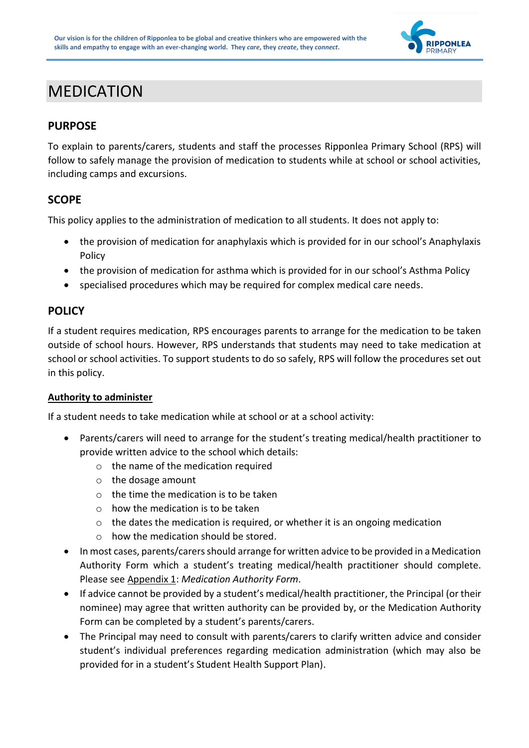

## MEDICATION

## **PURPOSE**

To explain to parents/carers, students and staff the processes Ripponlea Primary School (RPS) will follow to safely manage the provision of medication to students while at school or school activities, including camps and excursions.

### **SCOPE**

This policy applies to the administration of medication to all students. It does not apply to:

- the provision of medication for anaphylaxis which is provided for in our school's Anaphylaxis Policy
- the provision of medication for asthma which is provided for in our school's Asthma Policy
- specialised procedures which may be required for complex medical care needs.

## **POLICY**

If a student requires medication, RPS encourages parents to arrange for the medication to be taken outside of school hours. However, RPS understands that students may need to take medication at school or school activities. To support students to do so safely, RPS will follow the procedures set out in this policy.

### **Authority to administer**

If a student needs to take medication while at school or at a school activity:

- Parents/carers will need to arrange for the student's treating medical/health practitioner to provide written advice to the school which details:
	- o the name of the medication required
	- o the dosage amount
	- $\circ$  the time the medication is to be taken
	- $\circ$  how the medication is to be taken
	- o the dates the medication is required, or whether it is an ongoing medication
	- $\circ$  how the medication should be stored.
- In most cases, parents/carers should arrange for written advice to be provided in a Medication Authority Form which a student's treating medical/health practitioner should complete. Please see Appendix 1: *Medication Authority Form*.
- If advice cannot be provided by a student's medical/health practitioner, the Principal (or their nominee) may agree that written authority can be provided by, or the Medication Authority Form can be completed by a student's parents/carers.
- The Principal may need to consult with parents/carers to clarify written advice and consider student's individual preferences regarding medication administration (which may also be provided for in a student's Student Health Support Plan).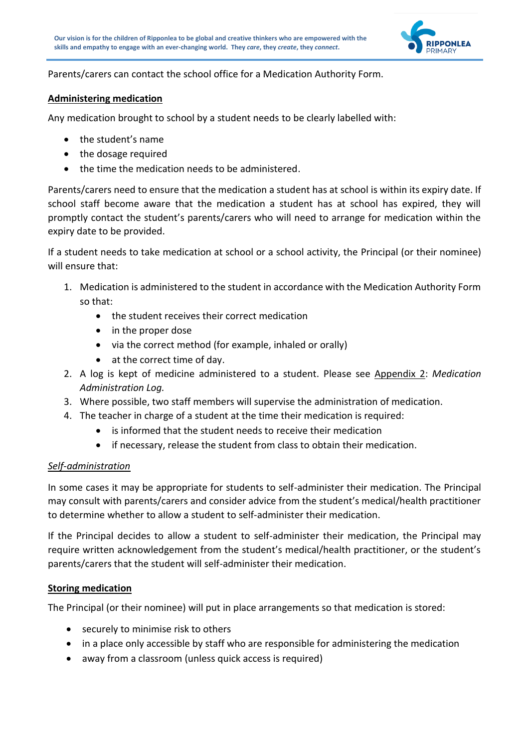

Parents/carers can contact the school office for a Medication Authority Form.

### **Administering medication**

Any medication brought to school by a student needs to be clearly labelled with:

- the student's name
- the dosage required
- the time the medication needs to be administered.

Parents/carers need to ensure that the medication a student has at school is within its expiry date. If school staff become aware that the medication a student has at school has expired, they will promptly contact the student's parents/carers who will need to arrange for medication within the expiry date to be provided.

If a student needs to take medication at school or a school activity, the Principal (or their nominee) will ensure that:

- 1. Medication is administered to the student in accordance with the Medication Authority Form so that:
	- the student receives their correct medication
	- in the proper dose
	- via the correct method (for example, inhaled or orally)
	- at the correct time of day.
- 2. A log is kept of medicine administered to a student. Please see Appendix 2: *Medication Administration Log.*
- 3. Where possible, two staff members will supervise the administration of medication.
- 4. The teacher in charge of a student at the time their medication is required:
	- is informed that the student needs to receive their medication
	- if necessary, release the student from class to obtain their medication.

### *Self-administration*

In some cases it may be appropriate for students to self-administer their medication. The Principal may consult with parents/carers and consider advice from the student's medical/health practitioner to determine whether to allow a student to self-administer their medication.

If the Principal decides to allow a student to self-administer their medication, the Principal may require written acknowledgement from the student's medical/health practitioner, or the student's parents/carers that the student will self-administer their medication.

### **Storing medication**

The Principal (or their nominee) will put in place arrangements so that medication is stored:

- securely to minimise risk to others
- in a place only accessible by staff who are responsible for administering the medication
- away from a classroom (unless quick access is required)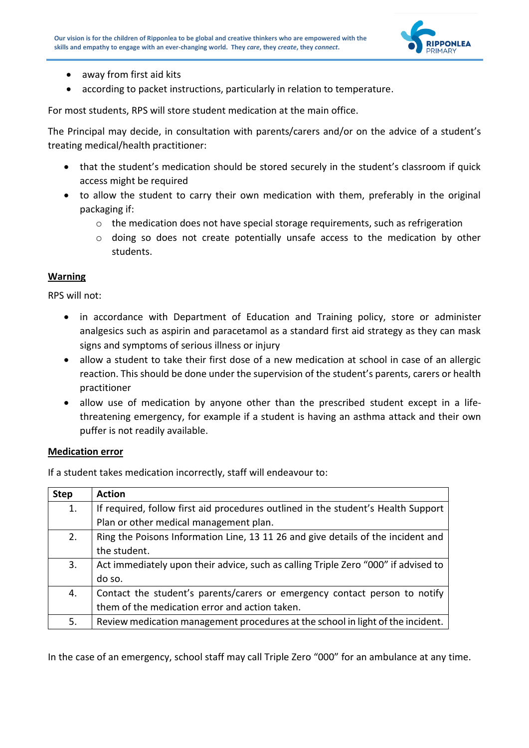

- away from first aid kits
- according to packet instructions, particularly in relation to temperature.

For most students, RPS will store student medication at the main office.

The Principal may decide, in consultation with parents/carers and/or on the advice of a student's treating medical/health practitioner:

- that the student's medication should be stored securely in the student's classroom if quick access might be required
- to allow the student to carry their own medication with them, preferably in the original packaging if:
	- $\circ$  the medication does not have special storage requirements, such as refrigeration
	- o doing so does not create potentially unsafe access to the medication by other students.

### **Warning**

RPS will not:

- in accordance with Department of Education and Training policy, store or administer analgesics such as aspirin and paracetamol as a standard first aid strategy as they can mask signs and symptoms of serious illness or injury
- allow a student to take their first dose of a new medication at school in case of an allergic reaction. This should be done under the supervision of the student's parents, carers or health practitioner
- allow use of medication by anyone other than the prescribed student except in a lifethreatening emergency, for example if a student is having an asthma attack and their own puffer is not readily available.

### **Medication error**

If a student takes medication incorrectly, staff will endeavour to:

| <b>Step</b> | <b>Action</b>                                                                      |
|-------------|------------------------------------------------------------------------------------|
| 1.          | If required, follow first aid procedures outlined in the student's Health Support  |
|             | Plan or other medical management plan.                                             |
| 2.          | Ring the Poisons Information Line, 13 11 26 and give details of the incident and   |
|             | the student.                                                                       |
| 3.          | Act immediately upon their advice, such as calling Triple Zero "000" if advised to |
|             | do so.                                                                             |
| 4.          | Contact the student's parents/carers or emergency contact person to notify         |
|             | them of the medication error and action taken.                                     |
| 5.          | Review medication management procedures at the school in light of the incident.    |

In the case of an emergency, school staff may call Triple Zero "000" for an ambulance at any time.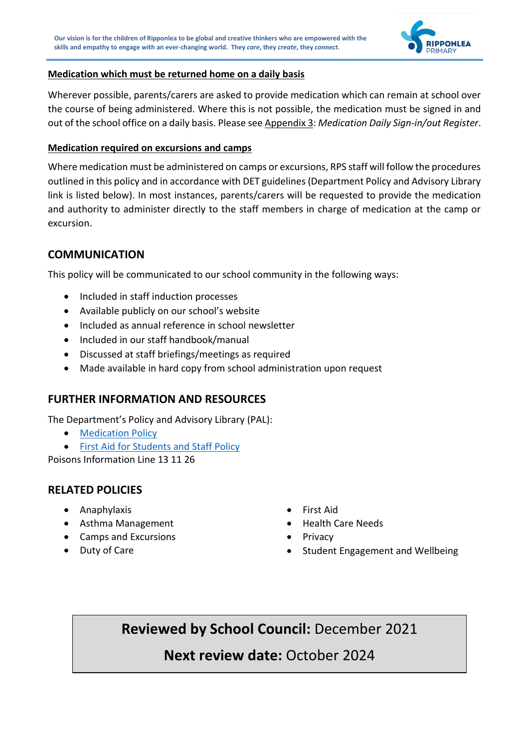

### **Medication which must be returned home on a daily basis**

Wherever possible, parents/carers are asked to provide medication which can remain at school over the course of being administered. Where this is not possible, the medication must be signed in and out of the school office on a daily basis. Please see Appendix 3: *Medication Daily Sign-in/out Register*.

### **Medication required on excursions and camps**

Where medication must be administered on camps or excursions, RPS staff will follow the procedures outlined in this policy and in accordance with DET guidelines (Department Policy and Advisory Library link is listed below). In most instances, parents/carers will be requested to provide the medication and authority to administer directly to the staff members in charge of medication at the camp or excursion.

### **COMMUNICATION**

This policy will be communicated to our school community in the following ways:

- Included in staff induction processes
- Available publicly on our school's website
- Included as annual reference in school newsletter
- Included in our staff handbook/manual
- Discussed at staff briefings/meetings as required
- Made available in hard copy from school administration upon request

### **FURTHER INFORMATION AND RESOURCES**

The Department's Policy and Advisory Library (PAL):

- [Medication Policy](https://www2.education.vic.gov.au/pal/medication/policy)
- [First Aid for Students and Staff Policy](https://www2.education.vic.gov.au/pal/first-aid-students-and-staff/policy)

Poisons Information Line 13 11 26

## **RELATED POLICIES**

- Anaphylaxis
- Asthma Management
- Camps and Excursions
- Duty of Care
- First Aid
- Health Care Needs
- **Privacy**
- Student Engagement and Wellbeing

**Reviewed by School Council:** December 2021

## **Next review date:** October 2024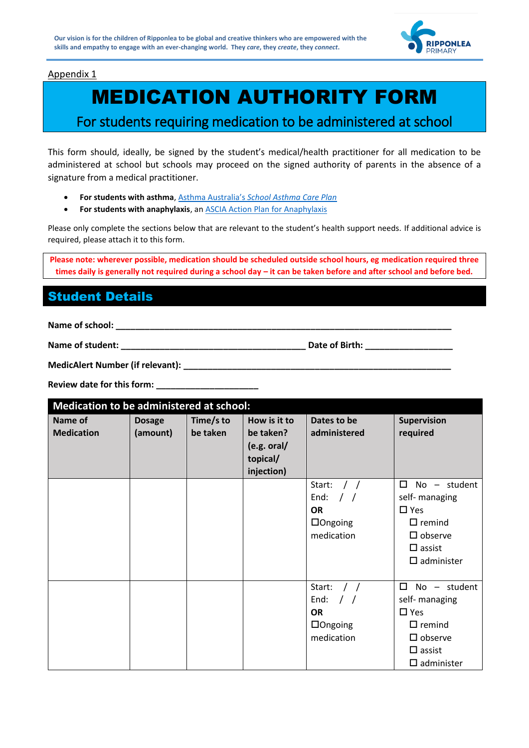

### Appendix 1

# MEDICATION AUTHORITY FORM

## For students requiring medication to be administered at school

This form should, ideally, be signed by the student's medical/health practitioner for all medication to be administered at school but schools may proceed on the signed authority of parents in the absence of a signature from a medical practitioner.

- **For students with asthma**, Asthma Australia's *[School Asthma Care Plan](https://www.asthmaaustralia.org.au/vic/about-asthma/resources)*
- **For students with anaphylaxis**, an [ASCIA Action Plan for Anaphylaxis](https://allergy.org.au/health-professionals/ascia-plans-action-and-treatment)

Please only complete the sections below that are relevant to the student's health support needs. If additional advice is required, please attach it to this form.

**Please note: wherever possible, medication should be scheduled outside school hours, eg medication required three times daily is generally not required during a school day – it can be taken before and after school and before bed.**

## Student Details

**Name of school: \_\_\_\_\_\_\_\_\_\_\_\_\_\_\_\_\_\_\_\_\_\_\_\_\_\_\_\_\_\_\_\_\_\_\_\_\_\_\_\_\_\_\_\_\_\_\_\_\_\_\_\_\_\_\_\_\_\_\_\_\_\_\_\_\_\_\_\_\_**

**Name of student: \_\_\_\_\_\_\_\_\_\_\_\_\_\_\_\_\_\_\_\_\_\_\_\_\_\_\_\_\_\_\_\_\_\_\_\_\_\_ Date of Birth: \_\_\_\_\_\_\_\_\_\_\_\_\_\_\_\_\_\_**

| MedicAlert Number (if relevant): |  |
|----------------------------------|--|
|----------------------------------|--|

**Review date for this form: \_\_\_\_\_\_\_\_\_\_\_\_\_\_\_\_\_\_\_\_\_**

| Medication to be administered at school: |                           |                       |                                                                    |                                                                                                  |                                                                                                                                        |  |  |  |  |  |
|------------------------------------------|---------------------------|-----------------------|--------------------------------------------------------------------|--------------------------------------------------------------------------------------------------|----------------------------------------------------------------------------------------------------------------------------------------|--|--|--|--|--|
| Name of<br><b>Medication</b>             | <b>Dosage</b><br>(amount) | Time/s to<br>be taken | How is it to<br>be taken?<br>(e.g. oral/<br>topical/<br>injection) | Dates to be<br>administered                                                                      | <b>Supervision</b><br>required                                                                                                         |  |  |  |  |  |
|                                          |                           |                       |                                                                    | Start:<br>End:<br>$\frac{1}{2}$<br><b>OR</b><br>$\Box$ Ongoing<br>medication                     | No - student<br>□<br>self- managing<br>$\square$ Yes<br>$\Box$ remind<br>$\square$ observe<br>$\square$ assist<br>$\square$ administer |  |  |  |  |  |
|                                          |                           |                       |                                                                    | Start:<br>$\left  \right $<br>End:<br>$\frac{1}{2}$<br><b>OR</b><br>$\Box$ Ongoing<br>medication | 0<br>No - student<br>self- managing<br>$\square$ Yes<br>$\Box$ remind<br>$\square$ observe<br>$\square$ assist<br>$\square$ administer |  |  |  |  |  |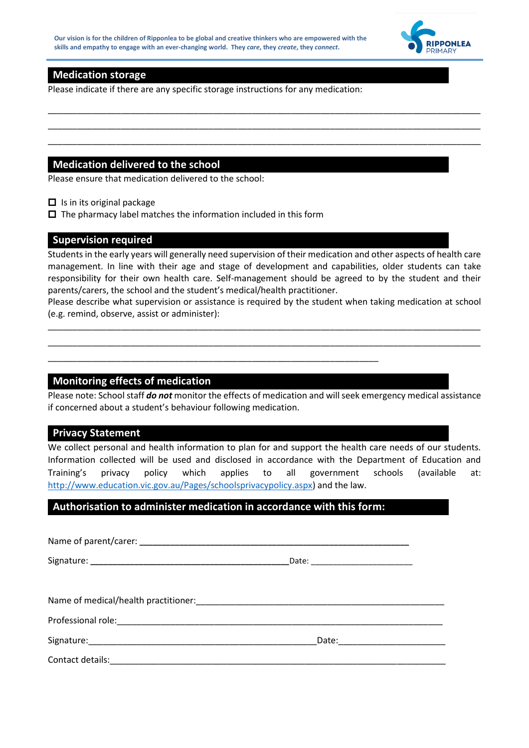

### **Medication storage**

Please indicate if there are any specific storage instructions for any medication:

### **Medication delivered to the school**

Please ensure that medication delivered to the school:

- □ Is in its original package
- $\Box$  The pharmacy label matches the information included in this form

### **Supervision required**

Students in the early years will generally need supervision of their medication and other aspects of health care management. In line with their age and stage of development and capabilities, older students can take responsibility for their own health care. Self-management should be agreed to by the student and their parents/carers, the school and the student's medical/health practitioner.

\_\_\_\_\_\_\_\_\_\_\_\_\_\_\_\_\_\_\_\_\_\_\_\_\_\_\_\_\_\_\_\_\_\_\_\_\_\_\_\_\_\_\_\_\_\_\_\_\_\_\_\_\_\_\_\_\_\_\_\_\_\_\_\_\_\_\_\_\_\_\_\_\_\_\_\_\_\_\_\_\_\_\_\_\_\_\_\_\_ \_\_\_\_\_\_\_\_\_\_\_\_\_\_\_\_\_\_\_\_\_\_\_\_\_\_\_\_\_\_\_\_\_\_\_\_\_\_\_\_\_\_\_\_\_\_\_\_\_\_\_\_\_\_\_\_\_\_\_\_\_\_\_\_\_\_\_\_\_\_\_\_\_\_\_\_\_\_\_\_\_\_\_\_\_\_\_\_\_ \_\_\_\_\_\_\_\_\_\_\_\_\_\_\_\_\_\_\_\_\_\_\_\_\_\_\_\_\_\_\_\_\_\_\_\_\_\_\_\_\_\_\_\_\_\_\_\_\_\_\_\_\_\_\_\_\_\_\_\_\_\_\_\_\_\_\_\_\_\_\_\_\_\_\_\_\_\_\_\_\_\_\_\_\_\_\_\_\_

Please describe what supervision or assistance is required by the student when taking medication at school (e.g. remind, observe, assist or administer):

\_\_\_\_\_\_\_\_\_\_\_\_\_\_\_\_\_\_\_\_\_\_\_\_\_\_\_\_\_\_\_\_\_\_\_\_\_\_\_\_\_\_\_\_\_\_\_\_\_\_\_\_\_\_\_\_\_\_\_\_\_\_\_\_\_\_\_\_\_\_\_\_\_\_\_\_\_\_\_\_\_\_\_\_\_\_\_\_\_ \_\_\_\_\_\_\_\_\_\_\_\_\_\_\_\_\_\_\_\_\_\_\_\_\_\_\_\_\_\_\_\_\_\_\_\_\_\_\_\_\_\_\_\_\_\_\_\_\_\_\_\_\_\_\_\_\_\_\_\_\_\_\_\_\_\_\_\_\_\_\_\_\_\_\_\_\_\_\_\_\_\_\_\_\_\_\_\_\_

### **Monitoring effects of medication**

Please note: School staff *do not* monitor the effects of medication and will seek emergency medical assistance if concerned about a student's behaviour following medication.

### **Privacy Statement**

We collect personal and health information to plan for and support the health care needs of our students. Information collected will be used and disclosed in accordance with the Department of Education and Training's privacy policy which applies to all government schools (available at: [http://www.education.vic.gov.au/Pages/schoolsprivacypolicy.aspx\)](http://www.education.vic.gov.au/Pages/schoolsprivacypolicy.aspx) and the law.

### **Authorisation to administer medication in accordance with this form:**

\_\_\_\_\_\_\_\_\_\_\_\_\_\_\_\_\_\_\_\_\_\_\_\_\_\_\_\_\_\_\_\_\_\_\_\_\_\_\_\_\_\_\_\_\_\_\_\_\_\_\_\_\_\_\_\_\_\_\_\_\_\_\_\_\_\_\_\_

| Contact details: |  |
|------------------|--|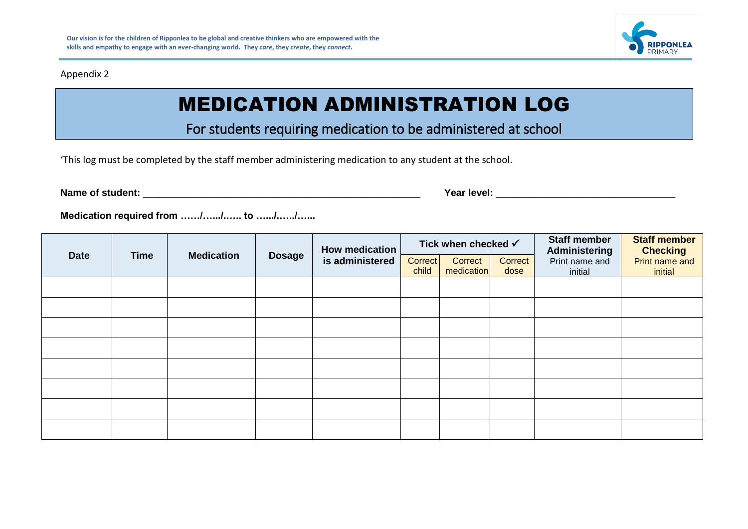#### Appendix 2



# MEDICATION ADMINISTRATION LOG

For students requiring medication to be administered at school

'This log must be completed by the staff member administering medication to any student at the school.

**Name of student:** \_\_\_\_\_\_\_\_\_\_\_\_\_\_\_\_\_\_\_\_\_\_\_\_\_\_\_\_\_\_\_\_\_\_\_\_\_\_\_\_\_\_\_\_\_\_\_\_\_\_\_ **Year level:** \_\_\_\_\_\_\_\_\_\_\_\_\_\_\_\_\_\_\_\_\_\_\_\_\_\_\_\_\_\_\_\_\_

**Medication required from ……/….../.….. to ….../.…../…...**

|             |             |                   |               | <b>How medication</b> | Tick when checked √ |            |         | <b>Staff member</b><br>Administering | <b>Staff member</b><br><b>Checking</b> |
|-------------|-------------|-------------------|---------------|-----------------------|---------------------|------------|---------|--------------------------------------|----------------------------------------|
| <b>Date</b> | <b>Time</b> | <b>Medication</b> | <b>Dosage</b> | is administered       | <b>Correct</b>      | Correct    | Correct | Print name and                       | Print name and                         |
|             |             |                   |               |                       | child               | medication | dose    | initial                              | initial                                |
|             |             |                   |               |                       |                     |            |         |                                      |                                        |
|             |             |                   |               |                       |                     |            |         |                                      |                                        |
|             |             |                   |               |                       |                     |            |         |                                      |                                        |
|             |             |                   |               |                       |                     |            |         |                                      |                                        |
|             |             |                   |               |                       |                     |            |         |                                      |                                        |
|             |             |                   |               |                       |                     |            |         |                                      |                                        |
|             |             |                   |               |                       |                     |            |         |                                      |                                        |
|             |             |                   |               |                       |                     |            |         |                                      |                                        |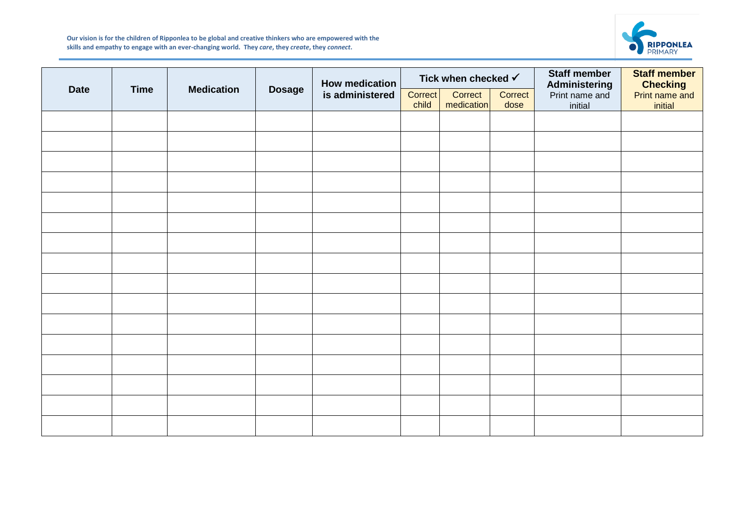

**Our vision is for the children of Ripponlea to be global and creative thinkers who are empowered with the skills and empathy to engage with an ever-changing world. They** *care***, they** *create***, they** *connect***.**

|             |             |                   |               | <b>How medication</b> | Tick when checked $\checkmark$ |                       |                 | <b>Staff member</b><br>Administering | <b>Staff member</b><br><b>Checking</b> |
|-------------|-------------|-------------------|---------------|-----------------------|--------------------------------|-----------------------|-----------------|--------------------------------------|----------------------------------------|
| <b>Date</b> | <b>Time</b> | <b>Medication</b> | <b>Dosage</b> | is administered       | Correct<br>child               | Correct<br>medication | Correct<br>dose | Print name and<br>initial            | Print name and<br>initial              |
|             |             |                   |               |                       |                                |                       |                 |                                      |                                        |
|             |             |                   |               |                       |                                |                       |                 |                                      |                                        |
|             |             |                   |               |                       |                                |                       |                 |                                      |                                        |
|             |             |                   |               |                       |                                |                       |                 |                                      |                                        |
|             |             |                   |               |                       |                                |                       |                 |                                      |                                        |
|             |             |                   |               |                       |                                |                       |                 |                                      |                                        |
|             |             |                   |               |                       |                                |                       |                 |                                      |                                        |
|             |             |                   |               |                       |                                |                       |                 |                                      |                                        |
|             |             |                   |               |                       |                                |                       |                 |                                      |                                        |
|             |             |                   |               |                       |                                |                       |                 |                                      |                                        |
|             |             |                   |               |                       |                                |                       |                 |                                      |                                        |
|             |             |                   |               |                       |                                |                       |                 |                                      |                                        |
|             |             |                   |               |                       |                                |                       |                 |                                      |                                        |
|             |             |                   |               |                       |                                |                       |                 |                                      |                                        |
|             |             |                   |               |                       |                                |                       |                 |                                      |                                        |
|             |             |                   |               |                       |                                |                       |                 |                                      |                                        |